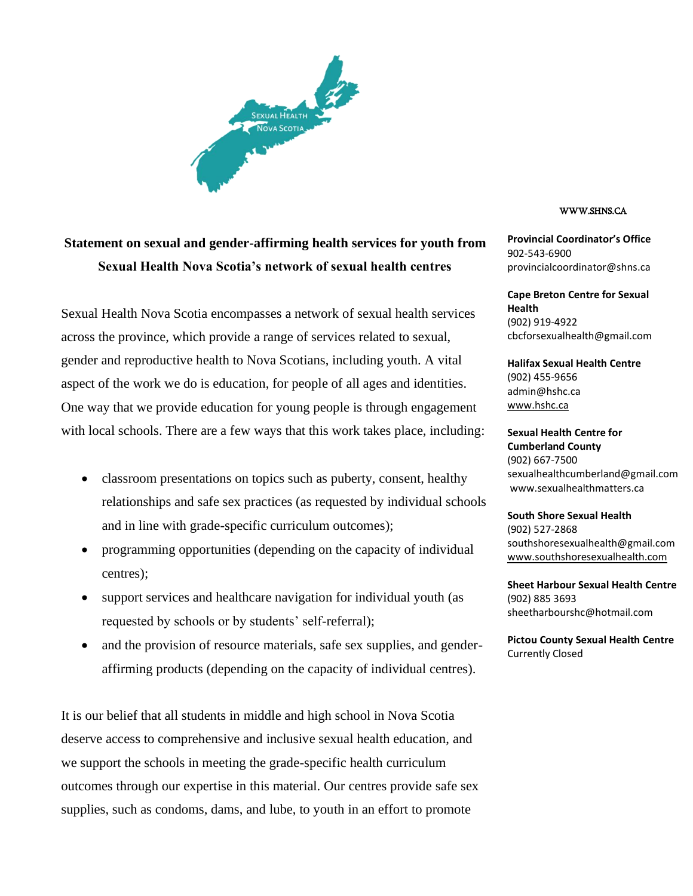

## **Statement on sexual and gender-affirming health services for youth from Sexual Health Nova Scotia's network of sexual health centres**

Sexual Health Nova Scotia encompasses a network of sexual health services across the province, which provide a range of services related to sexual, gender and reproductive health to Nova Scotians, including youth. A vital aspect of the work we do is education, for people of all ages and identities. One way that we provide education for young people is through engagement with local schools. There are a few ways that this work takes place, including:

- classroom presentations on topics such as puberty, consent, healthy relationships and safe sex practices (as requested by individual schools and in line with grade-specific curriculum outcomes);
- programming opportunities (depending on the capacity of individual centres);
- support services and healthcare navigation for individual youth (as requested by schools or by students' self-referral);
- and the provision of resource materials, safe sex supplies, and genderaffirming products (depending on the capacity of individual centres).

It is our belief that all students in middle and high school in Nova Scotia deserve access to comprehensive and inclusive sexual health education, and we support the schools in meeting the grade-specific health curriculum outcomes through our expertise in this material. Our centres provide safe sex supplies, such as condoms, dams, and lube, to youth in an effort to promote

## WWW.SHNS.CA

**Provincial Coordinator's Office** 902-543-6900 provincialcoordinator@shns.ca

**Cape Breton Centre for Sexual Health** (902) 919-4922 cbcforsexualhealth@gmail.com

**Halifax Sexual Health Centre** (902) 455-9656 admin@hshc.ca www.hshc.ca

**Sexual Health Centre for Cumberland County** (902) 667-7500 sexualhealthcumberland@gmail.com www.sexualhealthmatters.ca

**South Shore Sexual Health** (902) 527-2868 southshoresexualhealth@gmail.com www.southshoresexualhealth.com

**Sheet Harbour Sexual Health Centre** (902) 885 3693 sheetharbourshc@hotmail.com

**Pictou County Sexual Health Centre** Currently Closed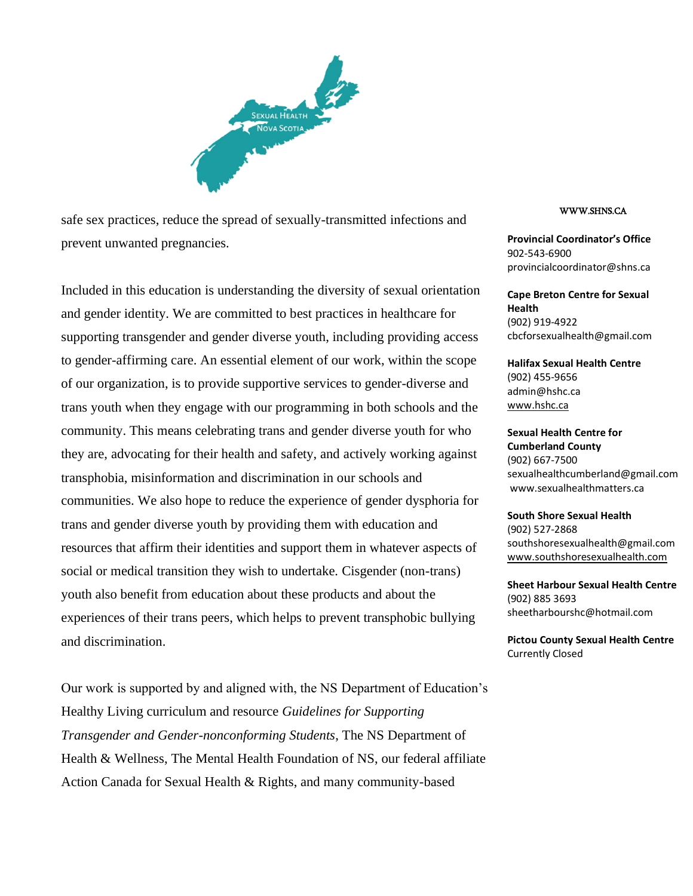

safe sex practices, reduce the spread of sexually-transmitted infections and prevent unwanted pregnancies.

Included in this education is understanding the diversity of sexual orientation and gender identity. We are committed to best practices in healthcare for supporting transgender and gender diverse youth, including providing access to gender-affirming care. An essential element of our work, within the scope of our organization, is to provide supportive services to gender-diverse and trans youth when they engage with our programming in both schools and the community. This means celebrating trans and gender diverse youth for who they are, advocating for their health and safety, and actively working against transphobia, misinformation and discrimination in our schools and communities. We also hope to reduce the experience of gender dysphoria for trans and gender diverse youth by providing them with education and resources that affirm their identities and support them in whatever aspects of social or medical transition they wish to undertake. Cisgender (non-trans) youth also benefit from education about these products and about the experiences of their trans peers, which helps to prevent transphobic bullying and discrimination.

Our work is supported by and aligned with, the NS Department of Education's Healthy Living curriculum and resource *Guidelines for Supporting Transgender and Gender-nonconforming Students*, The NS Department of Health & Wellness, The Mental Health Foundation of NS, our federal affiliate Action Canada for Sexual Health & Rights, and many community-based

## WWW.SHNS.CA

**Provincial Coordinator's Office** 902-543-6900 provincialcoordinator@shns.ca

**Cape Breton Centre for Sexual Health** (902) 919-4922 cbcforsexualhealth@gmail.com

**Halifax Sexual Health Centre** (902) 455-9656 admin@hshc.ca www.hshc.ca

**Sexual Health Centre for Cumberland County** (902) 667-7500 sexualhealthcumberland@gmail.com www.sexualhealthmatters.ca

**South Shore Sexual Health** (902) 527-2868 southshoresexualhealth@gmail.com www.southshoresexualhealth.com

**Sheet Harbour Sexual Health Centre** (902) 885 3693 sheetharbourshc@hotmail.com

**Pictou County Sexual Health Centre** Currently Closed